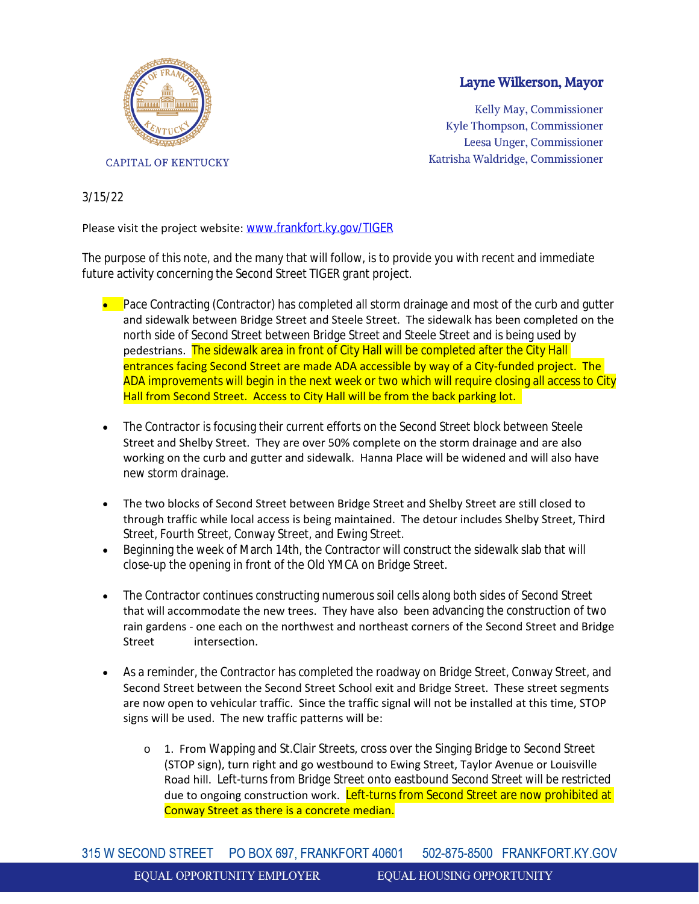

## Layne Wilkerson, Mayor

Kelly May, Commissioner Kyle Thompson, Commissioner Leesa Unger, Commissioner Katrisha Waldridge, Commissioner

## 3/15/22

## Please visit the project website: [www.frankfort.ky.gov/TIGER](http://www.frankfort.ky.gov/TIGER)

The purpose of this note, and the many that will follow, is to provide you with recent and immediate future activity concerning the Second Street TIGER grant project.

- **Pace Contracting (Contractor) has completed all storm drainage and most of the curb and gutter** and sidewalk between Bridge Street and Steele Street. The sidewalk has been completed on the north side of Second Street between Bridge Street and Steele Street and is being used by pedestrians. The sidewalk area in front of City Hall will be completed after the City Hall entrances facing Second Street are made ADA accessible by way of a City-funded project. The ADA improvements will begin in the next week or two which will require closing all access to City Hall from Second Street. Access to City Hall will be from the back parking lot.
- The Contractor is focusing their current efforts on the Second Street block between Steele Street and Shelby Street. They are over 50% complete on the storm drainage and are also working on the curb and gutter and sidewalk. Hanna Place will be widened and will also have new storm drainage.
- The two blocks of Second Street between Bridge Street and Shelby Street are still closed to through traffic while local access is being maintained. The detour includes Shelby Street, Third Street, Fourth Street, Conway Street, and Ewing Street.
- Beginning the week of March 14th, the Contractor will construct the sidewalk slab that will close-up the opening in front of the Old YMCA on Bridge Street.
- The Contractor continues constructing numerous soil cells along both sides of Second Street that will accommodate the new trees. They have also been advancing the construction of two rain gardens - one each on the northwest and northeast corners of the Second Street and Bridge Street intersection.
- As a reminder, the Contractor has completed the roadway on Bridge Street, Conway Street, and Second Street between the Second Street School exit and Bridge Street. These street segments are now open to vehicular traffic. Since the traffic signal will not be installed at this time, STOP signs will be used. The new traffic patterns will be:
	- o 1. From Wapping and St.Clair Streets, cross over the Singing Bridge to Second Street (STOP sign), turn right and go westbound to Ewing Street, Taylor Avenue or Louisville Road hill. Left-turns from Bridge Street onto eastbound Second Street will be restricted due to ongoing construction work. Left-turns from Second Street are now prohibited at Conway Street as there is a concrete median.